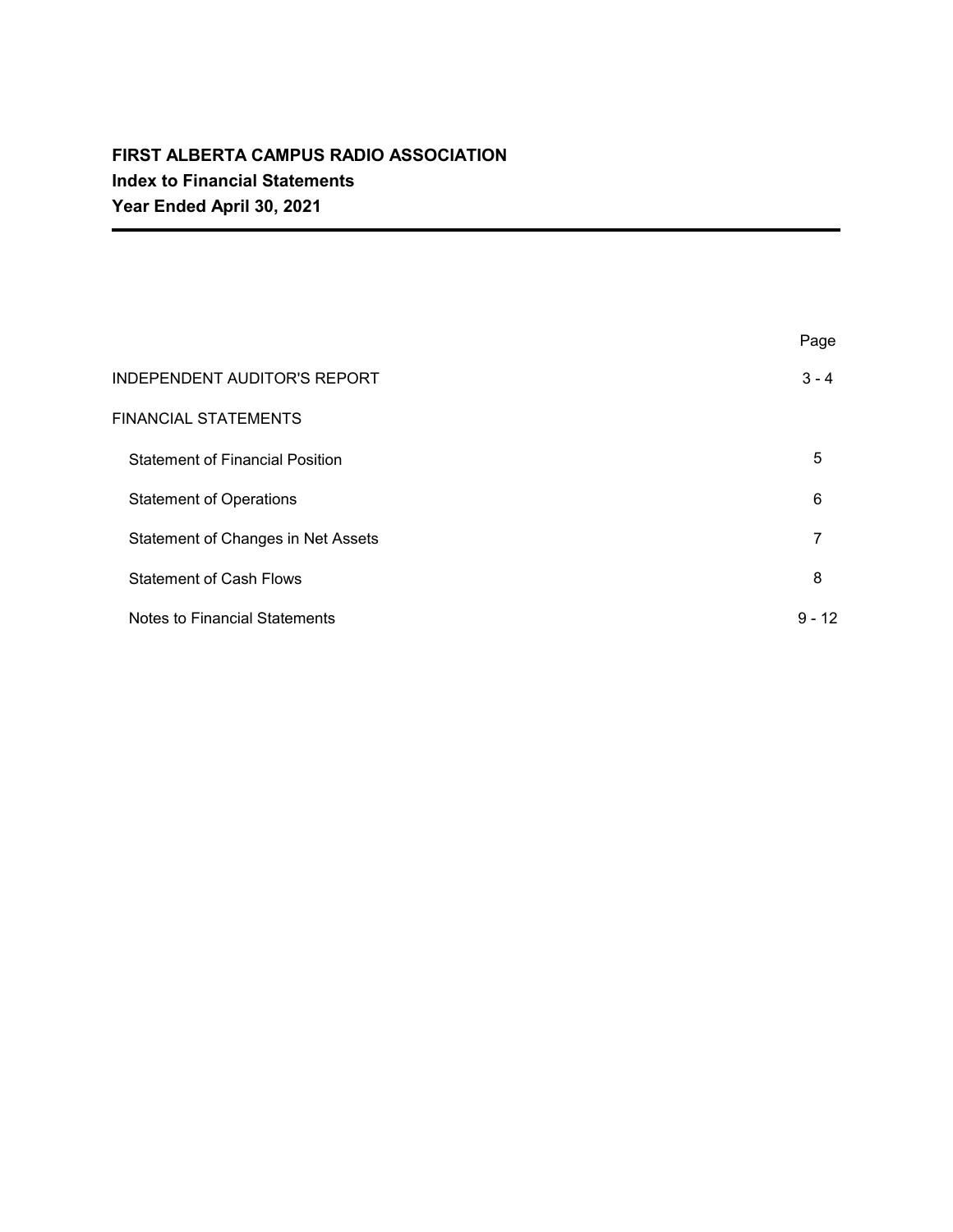|                                        | Page     |
|----------------------------------------|----------|
| <b>INDEPENDENT AUDITOR'S REPORT</b>    | $3 - 4$  |
| <b>FINANCIAL STATEMENTS</b>            |          |
| <b>Statement of Financial Position</b> | 5        |
| <b>Statement of Operations</b>         | 6        |
| Statement of Changes in Net Assets     | 7        |
| <b>Statement of Cash Flows</b>         | 8        |
| <b>Notes to Financial Statements</b>   | $9 - 12$ |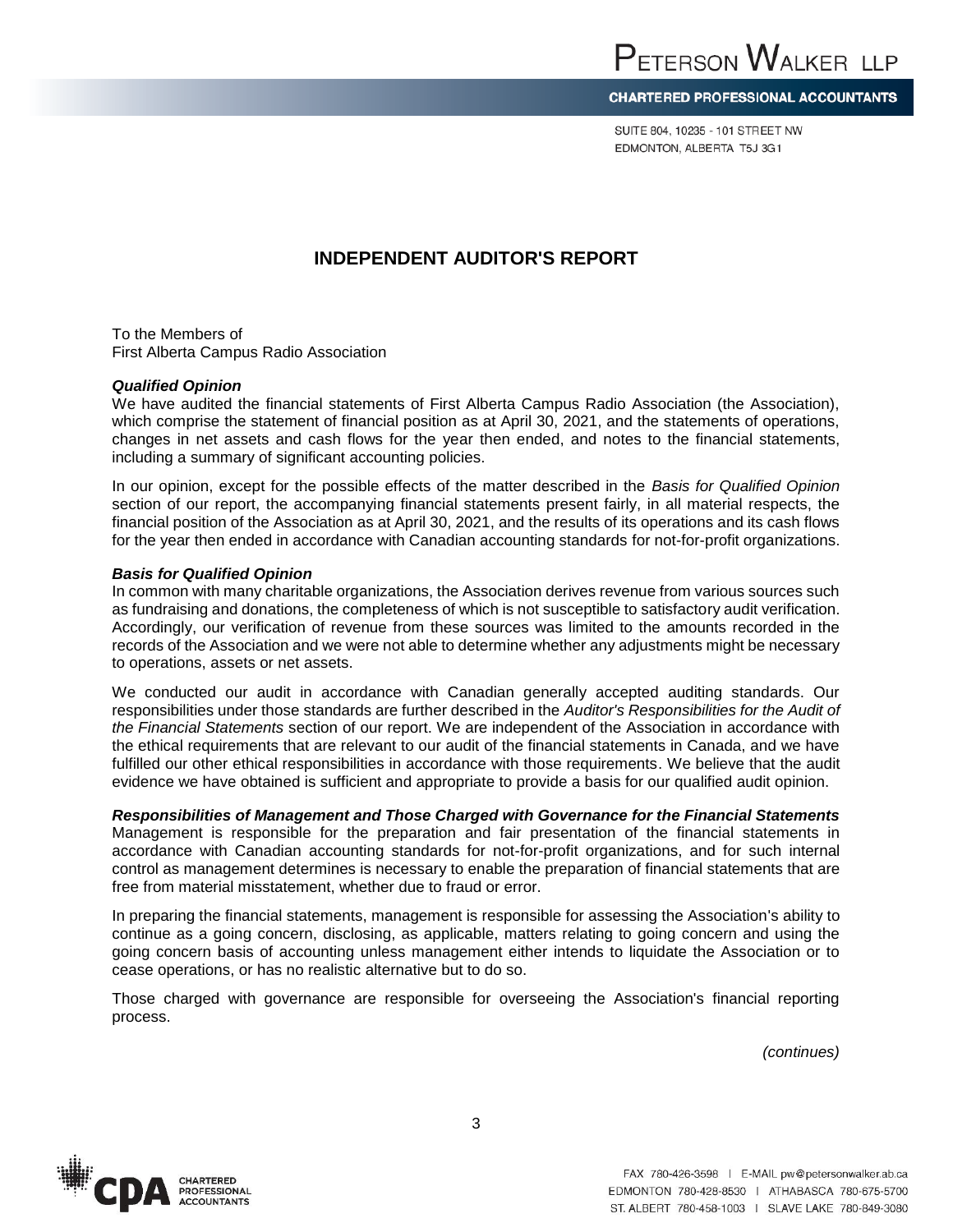Independent Auditor's Report to the Members of First Alberta Campus Radio Association *(continued)*

SUITE 804, 10235 - 101 STREET NW EDMONTON, ALBERTA T5J 3G1

## **INDEPENDENT AUDITOR'S REPORT**

To the Members of First Alberta Campus Radio Association

#### *Qualified Opinion*

We have audited the financial statements of First Alberta Campus Radio Association (the Association), which comprise the statement of financial position as at April 30, 2021, and the statements of operations, changes in net assets and cash flows for the year then ended, and notes to the financial statements, including a summary of significant accounting policies.

In our opinion, except for the possible effects of the matter described in the *Basis for Qualified Opinion* section of our report, the accompanying financial statements present fairly, in all material respects, the financial position of the Association as at April 30, 2021, and the results of its operations and its cash flows for the year then ended in accordance with Canadian accounting standards for not-for-profit organizations.

#### *Basis for Qualified Opinion*

In common with many charitable organizations, the Association derives revenue from various sources such as fundraising and donations, the completeness of which is not susceptible to satisfactory audit verification. Accordingly, our verification of revenue from these sources was limited to the amounts recorded in the records of the Association and we were not able to determine whether any adjustments might be necessary to operations, assets or net assets.

We conducted our audit in accordance with Canadian generally accepted auditing standards. Our responsibilities under those standards are further described in the *Auditor's Responsibilities for the Audit of the Financial Statements* section of our report. We are independent of the Association in accordance with the ethical requirements that are relevant to our audit of the financial statements in Canada, and we have fulfilled our other ethical responsibilities in accordance with those requirements. We believe that the audit evidence we have obtained is sufficient and appropriate to provide a basis for our qualified audit opinion.

## *Responsibilities of Management and Those Charged with Governance for the Financial Statements*

Management is responsible for the preparation and fair presentation of the financial statements in accordance with Canadian accounting standards for not-for-profit organizations, and for such internal control as management determines is necessary to enable the preparation of financial statements that are free from material misstatement, whether due to fraud or error.

In preparing the financial statements, management is responsible for assessing the Association's ability to continue as a going concern, disclosing, as applicable, matters relating to going concern and using the going concern basis of accounting unless management either intends to liquidate the Association or to cease operations, or has no realistic alternative but to do so.

Those charged with governance are responsible for overseeing the Association's financial reporting process.

 *(continues)*

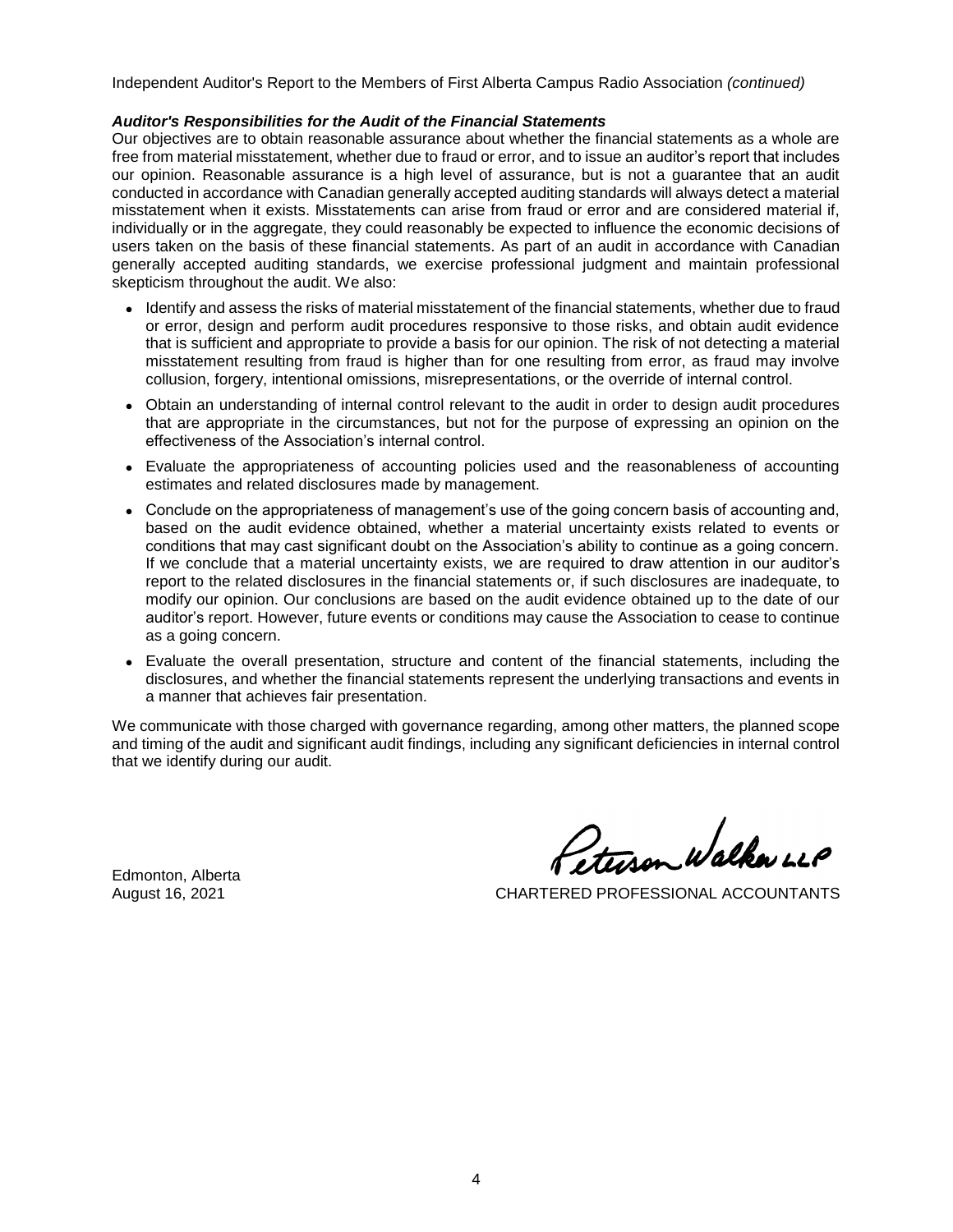Independent Auditor's Report to the Members of First Alberta Campus Radio Association *(continued)*

#### *Auditor's Responsibilities for the Audit of the Financial Statements*

Our objectives are to obtain reasonable assurance about whether the financial statements as a whole are free from material misstatement, whether due to fraud or error, and to issue an auditor's report that includes our opinion. Reasonable assurance is a high level of assurance, but is not a guarantee that an audit conducted in accordance with Canadian generally accepted auditing standards will always detect a material misstatement when it exists. Misstatements can arise from fraud or error and are considered material if, individually or in the aggregate, they could reasonably be expected to influence the economic decisions of users taken on the basis of these financial statements. As part of an audit in accordance with Canadian generally accepted auditing standards, we exercise professional judgment and maintain professional skepticism throughout the audit. We also:

- Identify and assess the risks of material misstatement of the financial statements, whether due to fraud or error, design and perform audit procedures responsive to those risks, and obtain audit evidence that is sufficient and appropriate to provide a basis for our opinion. The risk of not detecting a material misstatement resulting from fraud is higher than for one resulting from error, as fraud may involve collusion, forgery, intentional omissions, misrepresentations, or the override of internal control.
- Obtain an understanding of internal control relevant to the audit in order to design audit procedures that are appropriate in the circumstances, but not for the purpose of expressing an opinion on the effectiveness of the Association's internal control.
- Evaluate the appropriateness of accounting policies used and the reasonableness of accounting estimates and related disclosures made by management.
- Conclude on the appropriateness of management's use of the going concern basis of accounting and, based on the audit evidence obtained, whether a material uncertainty exists related to events or conditions that may cast significant doubt on the Association's ability to continue as a going concern. If we conclude that a material uncertainty exists, we are required to draw attention in our auditor's report to the related disclosures in the financial statements or, if such disclosures are inadequate, to modify our opinion. Our conclusions are based on the audit evidence obtained up to the date of our auditor's report. However, future events or conditions may cause the Association to cease to continue as a going concern.
- Evaluate the overall presentation, structure and content of the financial statements, including the disclosures, and whether the financial statements represent the underlying transactions and events in a manner that achieves fair presentation.

We communicate with those charged with governance regarding, among other matters, the planned scope and timing of the audit and significant audit findings, including any significant deficiencies in internal control that we identify during our audit.

Edmonton, Alberta

Steeren Walker LLP

August 16, 2021 CHARTERED PROFESSIONAL ACCOUNTANTS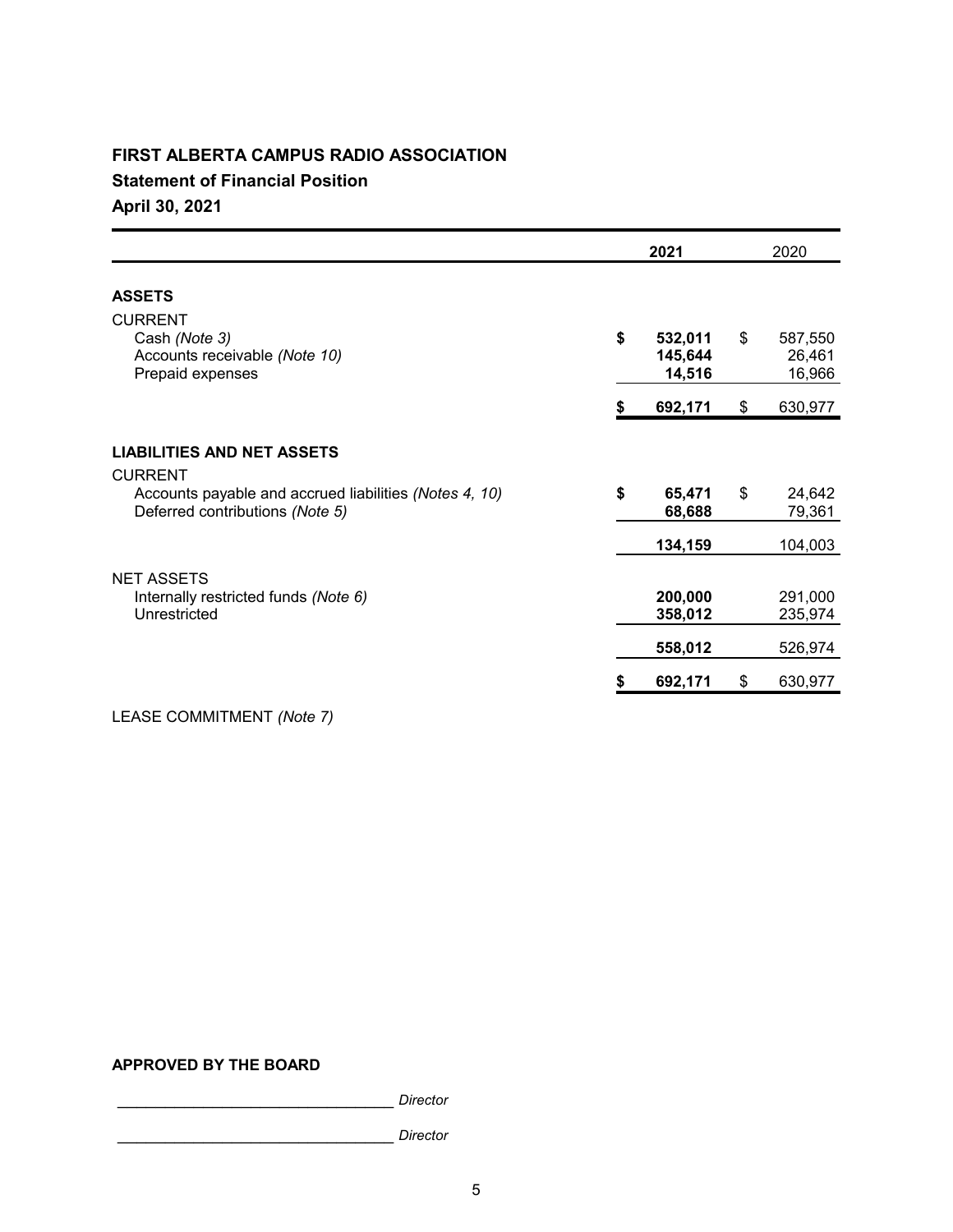## **FIRST ALBERTA CAMPUS RADIO ASSOCIATION**

**Statement of Financial Position**

**April 30, 2021**

|                                                                                           | 2021                               | 2020                              |
|-------------------------------------------------------------------------------------------|------------------------------------|-----------------------------------|
| <b>ASSETS</b>                                                                             |                                    |                                   |
| <b>CURRENT</b><br>Cash (Note 3)<br>Accounts receivable (Note 10)<br>Prepaid expenses      | \$<br>532,011<br>145,644<br>14,516 | \$<br>587,550<br>26,461<br>16,966 |
|                                                                                           | \$<br>692,171                      | \$<br>630,977                     |
| <b>LIABILITIES AND NET ASSETS</b><br><b>CURRENT</b>                                       |                                    |                                   |
| Accounts payable and accrued liabilities (Notes 4, 10)<br>Deferred contributions (Note 5) | \$<br>65,471<br>68,688             | \$<br>24,642<br>79,361            |
|                                                                                           | 134,159                            | 104,003                           |
| <b>NET ASSETS</b><br>Internally restricted funds (Note 6)<br>Unrestricted                 | 200,000<br>358,012                 | 291,000<br>235,974                |
|                                                                                           | 558,012                            | 526,974                           |
|                                                                                           | 692,171                            | \$<br>630,977                     |

LEASE COMMITMENT *(Note 7)*

## **APPROVED BY THE BOARD**

\_\_\_\_\_\_\_\_\_\_\_\_\_\_\_\_\_\_\_\_\_\_\_\_\_\_\_\_\_ *Director*

\_\_\_\_\_\_\_\_\_\_\_\_\_\_\_\_\_\_\_\_\_\_\_\_\_\_\_\_\_ *Director*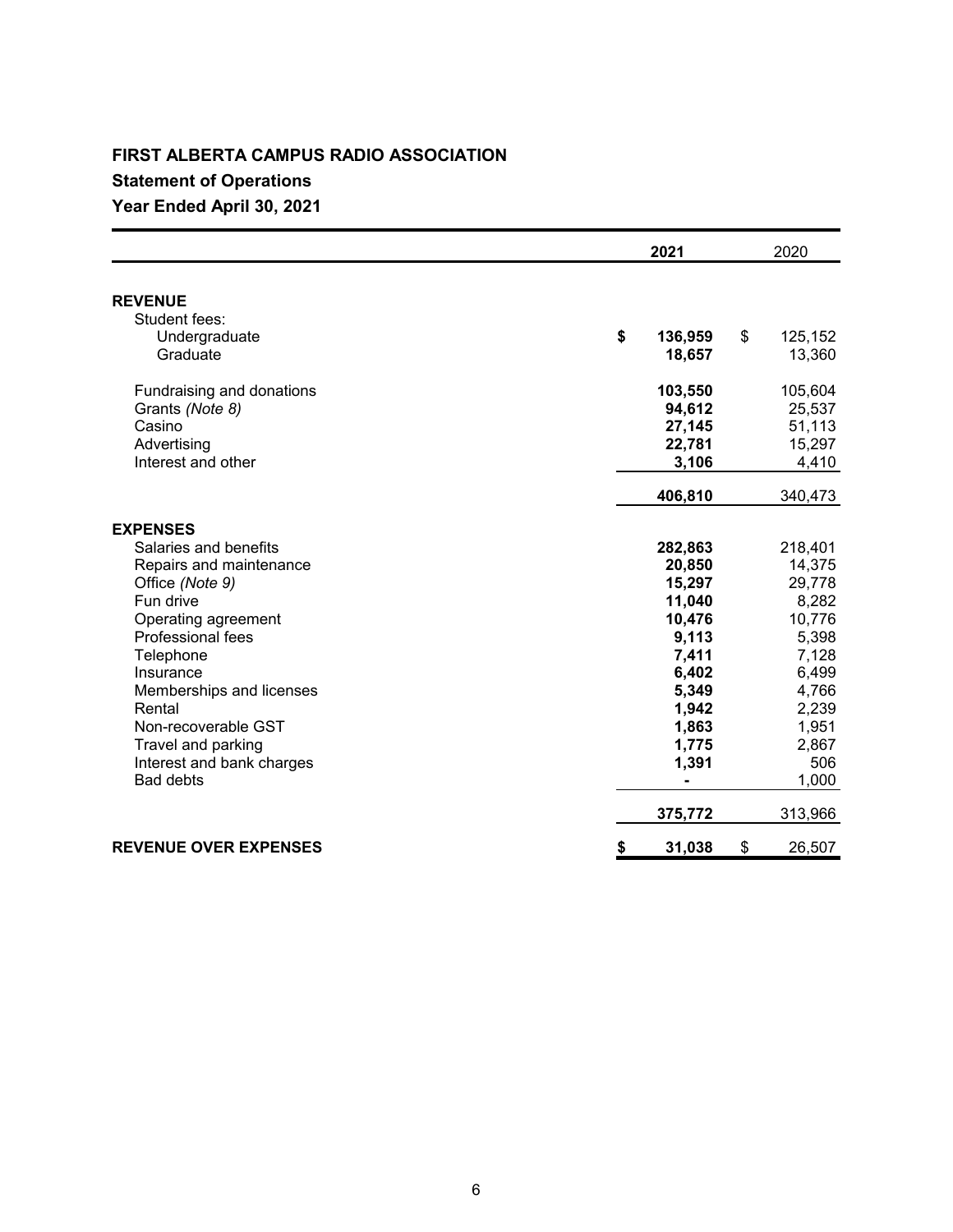## **FIRST ALBERTA CAMPUS RADIO ASSOCIATION**

# **Statement of Operations**

# **Year Ended April 30, 2021**

|                                                                                                                                                                                                                                                                                                               | 2021                                                                                                                                                 | 2020                                                                                                                                     |
|---------------------------------------------------------------------------------------------------------------------------------------------------------------------------------------------------------------------------------------------------------------------------------------------------------------|------------------------------------------------------------------------------------------------------------------------------------------------------|------------------------------------------------------------------------------------------------------------------------------------------|
| <b>REVENUE</b><br>Student fees:                                                                                                                                                                                                                                                                               |                                                                                                                                                      |                                                                                                                                          |
| Undergraduate<br>Graduate                                                                                                                                                                                                                                                                                     | \$<br>136,959<br>18,657                                                                                                                              | \$<br>125,152<br>13,360                                                                                                                  |
| Fundraising and donations<br>Grants (Note 8)<br>Casino<br>Advertising<br>Interest and other                                                                                                                                                                                                                   | 103,550<br>94,612<br>27,145<br>22,781<br>3,106                                                                                                       | 105,604<br>25,537<br>51,113<br>15,297<br>4,410                                                                                           |
|                                                                                                                                                                                                                                                                                                               | 406,810                                                                                                                                              | 340,473                                                                                                                                  |
| <b>EXPENSES</b><br>Salaries and benefits<br>Repairs and maintenance<br>Office (Note 9)<br>Fun drive<br>Operating agreement<br>Professional fees<br>Telephone<br>Insurance<br>Memberships and licenses<br>Rental<br>Non-recoverable GST<br>Travel and parking<br>Interest and bank charges<br><b>Bad debts</b> | 282,863<br>20,850<br>15,297<br>11,040<br>10,476<br>9,113<br>7,411<br>6,402<br>5,349<br>1,942<br>1,863<br>1,775<br>1,391<br>$\blacksquare$<br>375,772 | 218,401<br>14,375<br>29,778<br>8,282<br>10,776<br>5,398<br>7,128<br>6,499<br>4,766<br>2,239<br>1,951<br>2,867<br>506<br>1,000<br>313,966 |
| <b>REVENUE OVER EXPENSES</b>                                                                                                                                                                                                                                                                                  | \$<br>31,038                                                                                                                                         | \$<br>26,507                                                                                                                             |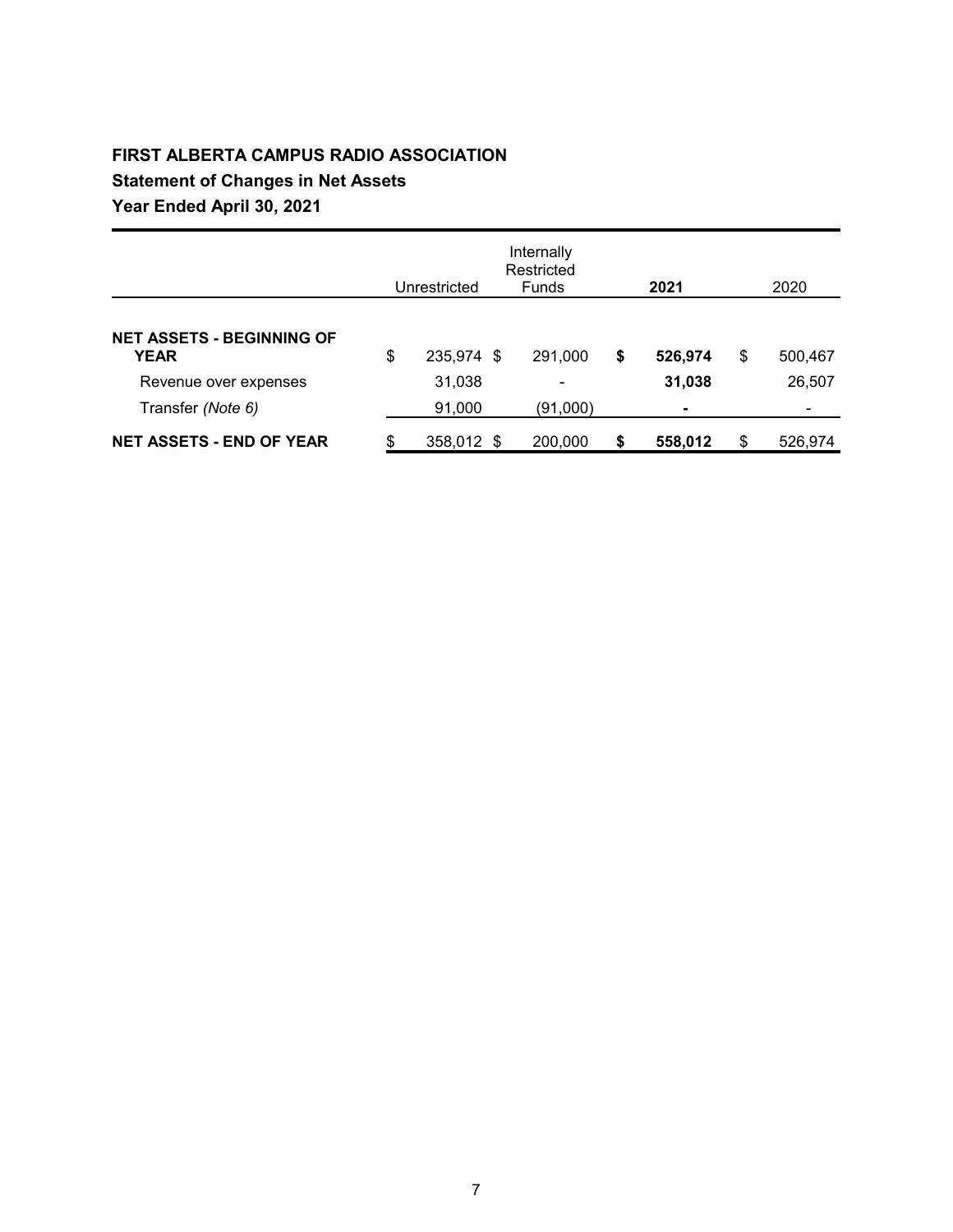# **FIRST ALBERTA CAMPUS RADIO ASSOCIATION Statement of Changes in Net Assets Year Ended April 30, 2021**

|                                                                               | Unrestricted                         | Internally<br>Restricted<br><b>Funds</b> | 2021                    | 2020                    |
|-------------------------------------------------------------------------------|--------------------------------------|------------------------------------------|-------------------------|-------------------------|
| <b>NET ASSETS - BEGINNING OF</b><br><b>YEAR</b>                               | \$<br>235,974 \$                     | 291,000                                  | \$<br>526,974           | \$<br>500,467           |
| Revenue over expenses<br>Transfer (Note 6)<br><b>NET ASSETS - END OF YEAR</b> | \$<br>31,038<br>91,000<br>358,012 \$ | ۰<br>(91,000)<br>200,000                 | \$<br>31,038<br>558,012 | \$<br>26,507<br>526,974 |
|                                                                               |                                      |                                          |                         |                         |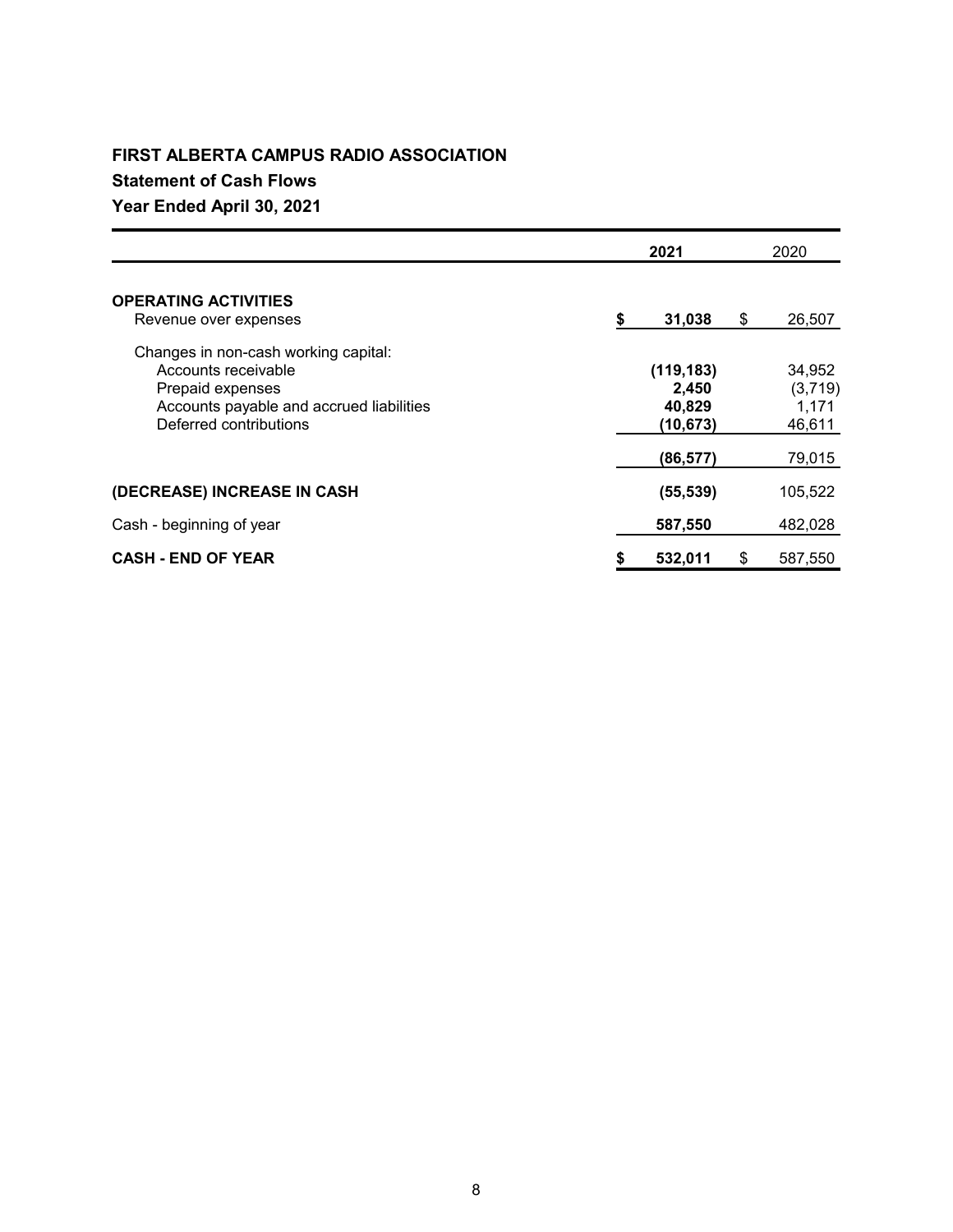## **FIRST ALBERTA CAMPUS RADIO ASSOCIATION**

## **Statement of Cash Flows**

## **Year Ended April 30, 2021**

|                                                                                                                                                       | 2021 |                                           |    | 2020                                 |  |  |
|-------------------------------------------------------------------------------------------------------------------------------------------------------|------|-------------------------------------------|----|--------------------------------------|--|--|
| <b>OPERATING ACTIVITIES</b><br>Revenue over expenses                                                                                                  | \$   | 31,038                                    | \$ | 26,507                               |  |  |
| Changes in non-cash working capital:<br>Accounts receivable<br>Prepaid expenses<br>Accounts payable and accrued liabilities<br>Deferred contributions |      | (119, 183)<br>2,450<br>40,829<br>(10,673) |    | 34,952<br>(3,719)<br>1,171<br>46,611 |  |  |
|                                                                                                                                                       |      | (86, 577)                                 |    | 79,015                               |  |  |
| (DECREASE) INCREASE IN CASH                                                                                                                           |      | (55, 539)                                 |    | 105,522                              |  |  |
| Cash - beginning of year                                                                                                                              |      | 587,550                                   |    | 482,028                              |  |  |
| <b>CASH - END OF YEAR</b>                                                                                                                             | \$   | 532,011                                   | S  | 587.550                              |  |  |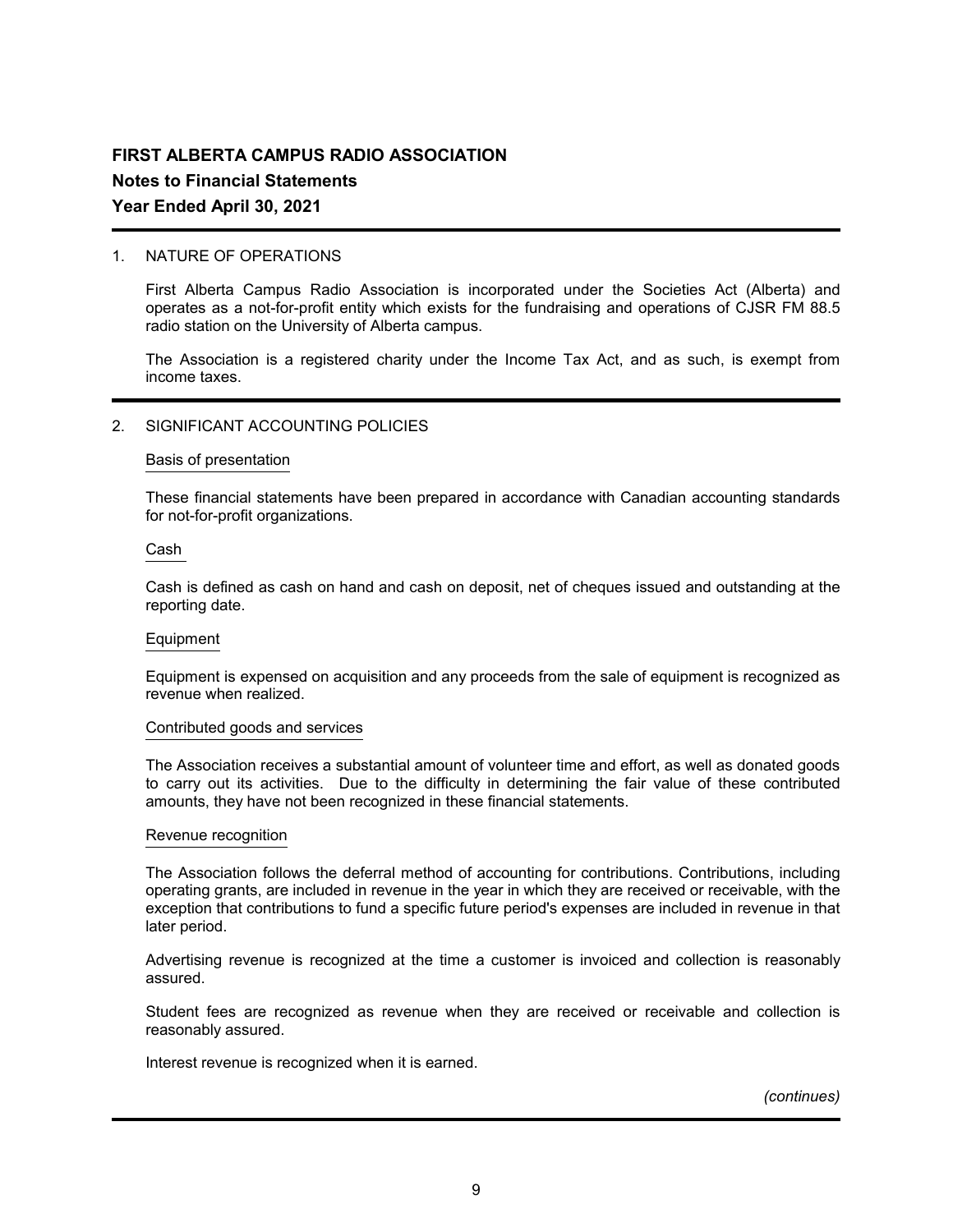## 1. NATURE OF OPERATIONS

First Alberta Campus Radio Association is incorporated under the Societies Act (Alberta) and operates as a not-for-profit entity which exists for the fundraising and operations of CJSR FM 88.5 radio station on the University of Alberta campus.

The Association is a registered charity under the Income Tax Act, and as such, is exempt from income taxes.

### 2. SIGNIFICANT ACCOUNTING POLICIES

#### Basis of presentation

These financial statements have been prepared in accordance with Canadian accounting standards for not-for-profit organizations.

#### Cash

Cash is defined as cash on hand and cash on deposit, net of cheques issued and outstanding at the reporting date.

#### Equipment

Equipment is expensed on acquisition and any proceeds from the sale of equipment is recognized as revenue when realized.

#### Contributed goods and services

The Association receives a substantial amount of volunteer time and effort, as well as donated goods to carry out its activities. Due to the difficulty in determining the fair value of these contributed amounts, they have not been recognized in these financial statements.

#### Revenue recognition

The Association follows the deferral method of accounting for contributions. Contributions, including operating grants, are included in revenue in the year in which they are received or receivable, with the exception that contributions to fund a specific future period's expenses are included in revenue in that later period.

Advertising revenue is recognized at the time a customer is invoiced and collection is reasonably assured.

Student fees are recognized as revenue when they are received or receivable and collection is reasonably assured.

Interest revenue is recognized when it is earned.

*(continues)*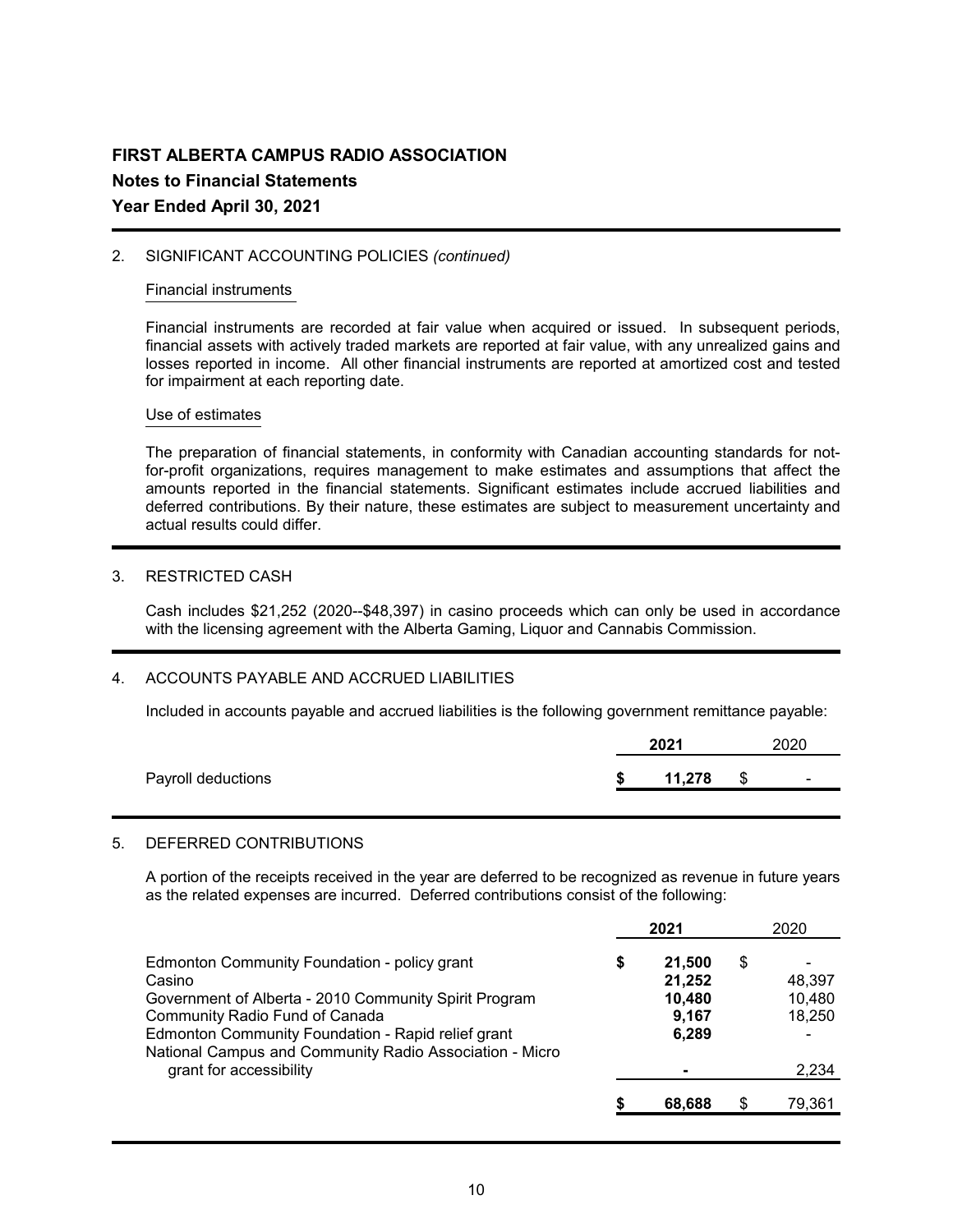## 2. SIGNIFICANT ACCOUNTING POLICIES *(continued)*

#### Financial instruments

Financial instruments are recorded at fair value when acquired or issued. In subsequent periods, financial assets with actively traded markets are reported at fair value, with any unrealized gains and losses reported in income. All other financial instruments are reported at amortized cost and tested for impairment at each reporting date.

## Use of estimates

The preparation of financial statements, in conformity with Canadian accounting standards for notfor-profit organizations, requires management to make estimates and assumptions that affect the amounts reported in the financial statements. Significant estimates include accrued liabilities and deferred contributions. By their nature, these estimates are subject to measurement uncertainty and actual results could differ.

## 3. RESTRICTED CASH

Cash includes \$21,252 (2020--\$48,397) in casino proceeds which can only be used in accordance with the licensing agreement with the Alberta Gaming, Liquor and Cannabis Commission.

## 4. ACCOUNTS PAYABLE AND ACCRUED LIABILITIES

Included in accounts payable and accrued liabilities is the following government remittance payable:

|                    | 2021   | 2020 |                          |  |
|--------------------|--------|------|--------------------------|--|
| Payroll deductions | 11,278 | S    | $\overline{\phantom{0}}$ |  |

## 5. DEFERRED CONTRIBUTIONS

A portion of the receipts received in the year are deferred to be recognized as revenue in future years as the related expenses are incurred. Deferred contributions consist of the following:

|                                                                                                               |   | 2021             | 2020         |
|---------------------------------------------------------------------------------------------------------------|---|------------------|--------------|
| Edmonton Community Foundation - policy grant<br>Casino                                                        | S | 21.500<br>21,252 | \$<br>48,397 |
| Government of Alberta - 2010 Community Spirit Program                                                         |   | 10,480           | 10,480       |
| Community Radio Fund of Canada                                                                                |   | 9,167            | 18,250       |
| Edmonton Community Foundation - Rapid relief grant<br>National Campus and Community Radio Association - Micro |   | 6,289            |              |
| grant for accessibility                                                                                       |   |                  | 2,234        |
|                                                                                                               |   | 68,688           | \$<br>79,361 |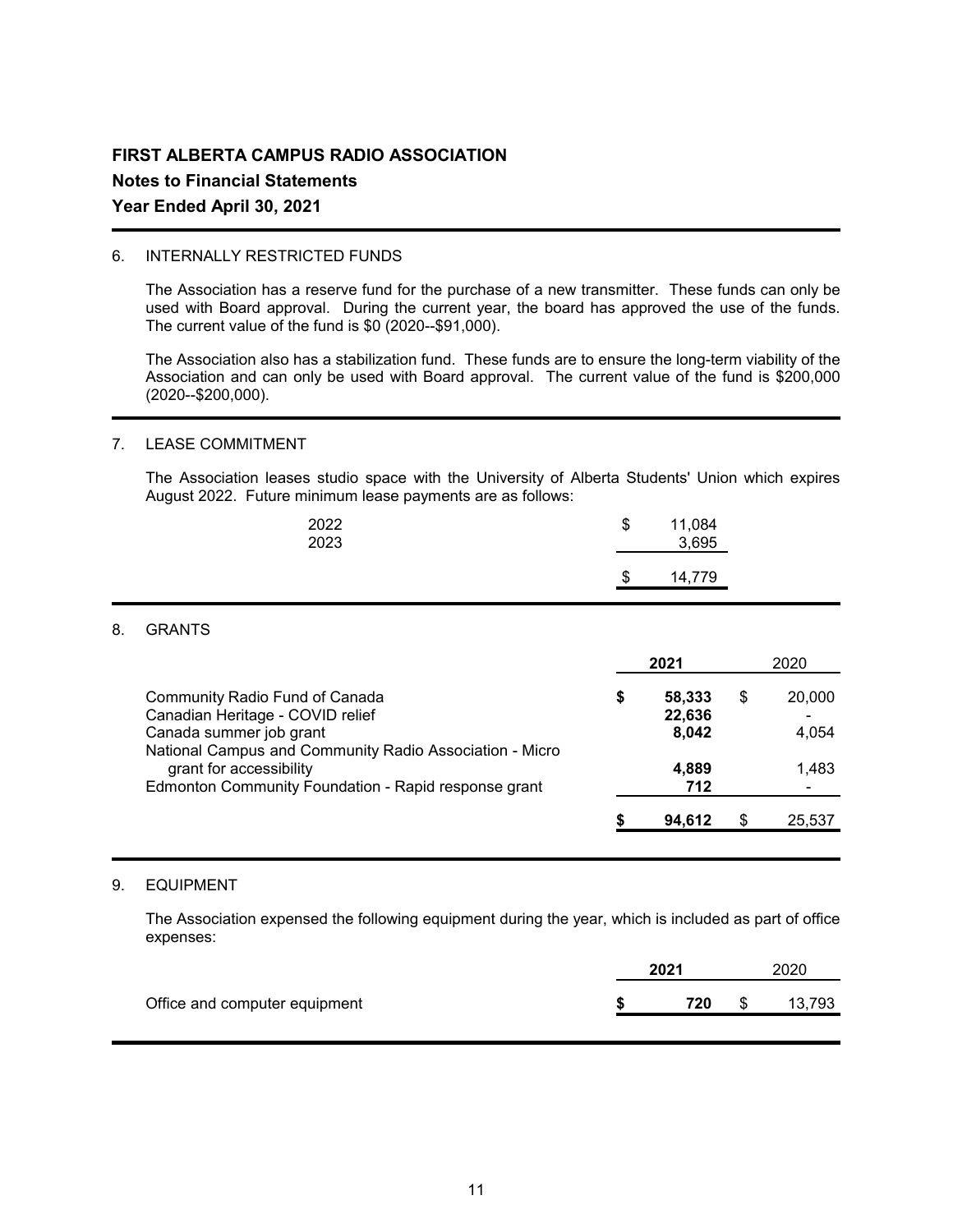## 6. INTERNALLY RESTRICTED FUNDS

The Association has a reserve fund for the purchase of a new transmitter. These funds can only be used with Board approval. During the current year, the board has approved the use of the funds. The current value of the fund is \$0 (2020--\$91,000).

The Association also has a stabilization fund. These funds are to ensure the long-term viability of the Association and can only be used with Board approval. The current value of the fund is \$200,000 (2020--\$200,000).

## 7. LEASE COMMITMENT

The Association leases studio space with the University of Alberta Students' Union which expires August 2022. Future minimum lease payments are as follows:

| 2022<br>2023 | \$ | 11,084<br>3,695 |  |
|--------------|----|-----------------|--|
|              | S  | 14,779          |  |

## 8. GRANTS

|                                                                                                                                                          | 2021 |                           | 2020 |                 |
|----------------------------------------------------------------------------------------------------------------------------------------------------------|------|---------------------------|------|-----------------|
| Community Radio Fund of Canada<br>Canadian Heritage - COVID relief<br>Canada summer job grant<br>National Campus and Community Radio Association - Micro | \$   | 58,333<br>22,636<br>8,042 | \$   | 20,000<br>4,054 |
| grant for accessibility<br>Edmonton Community Foundation - Rapid response grant                                                                          |      | 4,889<br>712              |      | 1,483           |
|                                                                                                                                                          |      | 94,612                    | \$   | 25,537          |

## 9. EQUIPMENT

The Association expensed the following equipment during the year, which is included as part of office expenses:

|                               | 2021 | 2020 |        |  |
|-------------------------------|------|------|--------|--|
| Office and computer equipment | 720  | \$   | 13.793 |  |